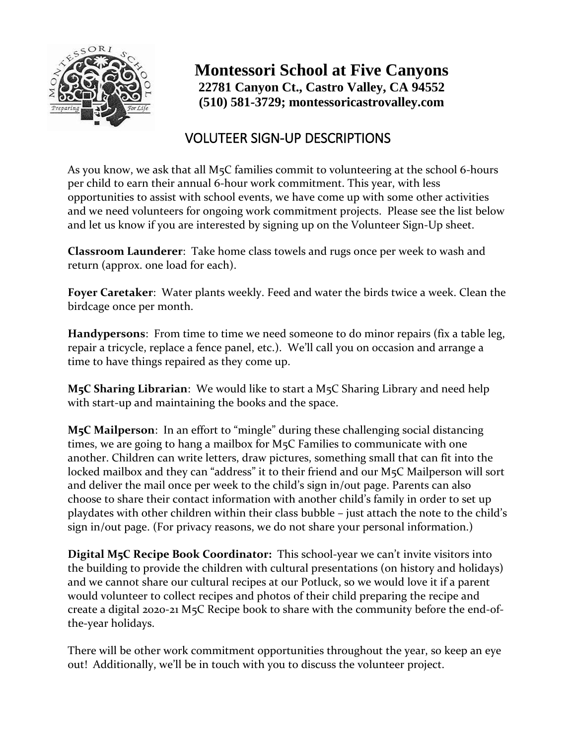

### **Montessori School at Five Canyons 22781 Canyon Ct., Castro Valley, CA 94552 (510) 581-3729; montessoricastrovalley.com**

### VOLUTEER SIGN-UP DESCRIPTIONS

As you know, we ask that all M5C families commit to volunteering at the school 6-hours per child to earn their annual 6-hour work commitment. This year, with less opportunities to assist with school events, we have come up with some other activities and we need volunteers for ongoing work commitment projects. Please see the list below and let us know if you are interested by signing up on the Volunteer Sign-Up sheet.

**Classroom Launderer**: Take home class towels and rugs once per week to wash and return (approx. one load for each).

**Foyer Caretaker**: Water plants weekly. Feed and water the birds twice a week. Clean the birdcage once per month.

**Handypersons**: From time to time we need someone to do minor repairs (fix a table leg, repair a tricycle, replace a fence panel, etc.). We'll call you on occasion and arrange a time to have things repaired as they come up.

**M5C Sharing Librarian**: We would like to start a M5C Sharing Library and need help with start-up and maintaining the books and the space.

**M5C Mailperson**: In an effort to "mingle" during these challenging social distancing times, we are going to hang a mailbox for M5C Families to communicate with one another. Children can write letters, draw pictures, something small that can fit into the locked mailbox and they can "address" it to their friend and our M<sub>5</sub>C Mailperson will sort and deliver the mail once per week to the child's sign in/out page. Parents can also choose to share their contact information with another child's family in order to set up playdates with other children within their class bubble – just attach the note to the child's sign in/out page. (For privacy reasons, we do not share your personal information.)

**Digital M5C Recipe Book Coordinator:** This school-year we can't invite visitors into the building to provide the children with cultural presentations (on history and holidays) and we cannot share our cultural recipes at our Potluck, so we would love it if a parent would volunteer to collect recipes and photos of their child preparing the recipe and create a digital 2020-21 M5C Recipe book to share with the community before the end-ofthe-year holidays.

There will be other work commitment opportunities throughout the year, so keep an eye out! Additionally, we'll be in touch with you to discuss the volunteer project.